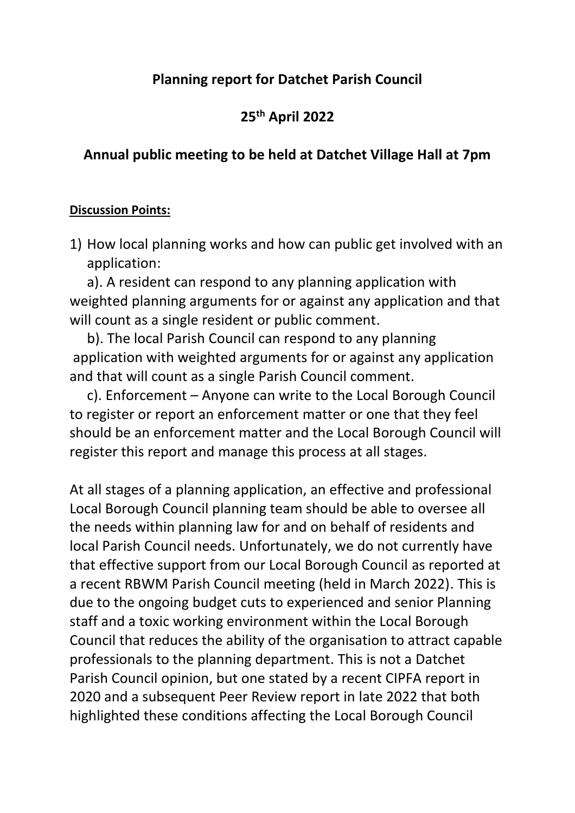## **Planning report for Datchet Parish Council**

## **25th April 2022**

## **Annual public meeting to be held at Datchet Village Hall at 7pm**

## **Discussion Points:**

1) How local planning works and how can public get involved with an application:

a). A resident can respond to any planning application with weighted planning arguments for or against any application and that will count as a single resident or public comment.

b). The local Parish Council can respond to any planning application with weighted arguments for or against any application and that will count as a single Parish Council comment.

c). Enforcement – Anyone can write to the Local Borough Council to register or report an enforcement matter or one that they feel should be an enforcement matter and the Local Borough Council will register this report and manage this process at all stages.

At all stages of a planning application, an effective and professional Local Borough Council planning team should be able to oversee all the needs within planning law for and on behalf of residents and local Parish Council needs. Unfortunately, we do not currently have that effective support from our Local Borough Council as reported at a recent RBWM Parish Council meeting (held in March 2022). This is due to the ongoing budget cuts to experienced and senior Planning staff and a toxic working environment within the Local Borough Council that reduces the ability of the organisation to attract capable professionals to the planning department. This is not a Datchet Parish Council opinion, but one stated by a recent CIPFA report in 2020 and a subsequent Peer Review report in late 2022 that both highlighted these conditions affecting the Local Borough Council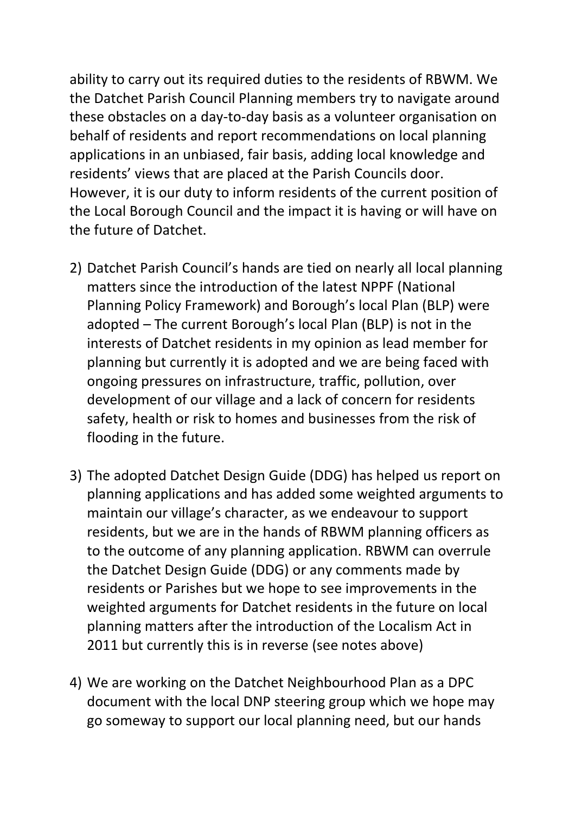ability to carry out its required duties to the residents of RBWM. We the Datchet Parish Council Planning members try to navigate around these obstacles on a day-to-day basis as a volunteer organisation on behalf of residents and report recommendations on local planning applications in an unbiased, fair basis, adding local knowledge and residents' views that are placed at the Parish Councils door. However, it is our duty to inform residents of the current position of the Local Borough Council and the impact it is having or will have on the future of Datchet.

- 2) Datchet Parish Council's hands are tied on nearly all local planning matters since the introduction of the latest NPPF (National Planning Policy Framework) and Borough's local Plan (BLP) were adopted – The current Borough's local Plan (BLP) is not in the interests of Datchet residents in my opinion as lead member for planning but currently it is adopted and we are being faced with ongoing pressures on infrastructure, traffic, pollution, over development of our village and a lack of concern for residents safety, health or risk to homes and businesses from the risk of flooding in the future.
- 3) The adopted Datchet Design Guide (DDG) has helped us report on planning applications and has added some weighted arguments to maintain our village's character, as we endeavour to support residents, but we are in the hands of RBWM planning officers as to the outcome of any planning application. RBWM can overrule the Datchet Design Guide (DDG) or any comments made by residents or Parishes but we hope to see improvements in the weighted arguments for Datchet residents in the future on local planning matters after the introduction of the Localism Act in 2011 but currently this is in reverse (see notes above)
- 4) We are working on the Datchet Neighbourhood Plan as a DPC document with the local DNP steering group which we hope may go someway to support our local planning need, but our hands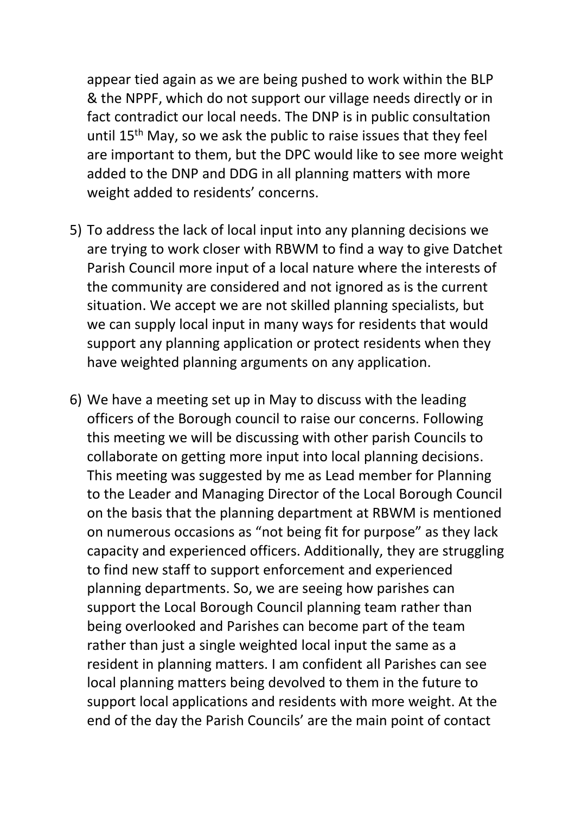appear tied again as we are being pushed to work within the BLP & the NPPF, which do not support our village needs directly or in fact contradict our local needs. The DNP is in public consultation until 15th May, so we ask the public to raise issues that they feel are important to them, but the DPC would like to see more weight added to the DNP and DDG in all planning matters with more weight added to residents' concerns.

- 5) To address the lack of local input into any planning decisions we are trying to work closer with RBWM to find a way to give Datchet Parish Council more input of a local nature where the interests of the community are considered and not ignored as is the current situation. We accept we are not skilled planning specialists, but we can supply local input in many ways for residents that would support any planning application or protect residents when they have weighted planning arguments on any application.
- 6) We have a meeting set up in May to discuss with the leading officers of the Borough council to raise our concerns. Following this meeting we will be discussing with other parish Councils to collaborate on getting more input into local planning decisions. This meeting was suggested by me as Lead member for Planning to the Leader and Managing Director of the Local Borough Council on the basis that the planning department at RBWM is mentioned on numerous occasions as "not being fit for purpose" as they lack capacity and experienced officers. Additionally, they are struggling to find new staff to support enforcement and experienced planning departments. So, we are seeing how parishes can support the Local Borough Council planning team rather than being overlooked and Parishes can become part of the team rather than just a single weighted local input the same as a resident in planning matters. I am confident all Parishes can see local planning matters being devolved to them in the future to support local applications and residents with more weight. At the end of the day the Parish Councils' are the main point of contact